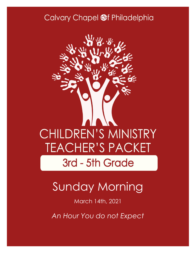### Calvary Chapel @f Philadelphia



# Sunday Morning

March 14th, 2021

*An Hour You do not Expect*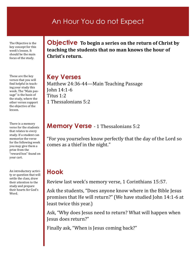### An Hour You do not Expect

The Objective is the key concept for this week's lesson. It should be the main focus of the study.

These are the key verses that you will find helpful in teaching your study this week. The "Main passage" is the basis of the study, where the other verses support the objective of the lesson.

There is a memory verse for the students that relates to every study. If a student can memorize the verse for the following week you may give them a prize from the "reward box" found on your cart.

An introductory activity or question that will settle the class, draw their attention to the study and prepare their hearts for God's Word.

**Objective To begin a series on the return of Christ by teaching the students that no man knows the hour of Christ's return.**

#### **Key Verses**

Matthew 24:36-44—Main Teaching Passage John 14:1-6 Titus 1:2 1 Thessalonians 5:2

#### **Memory Verse** - 1 Thessalonians 5:2

"For you yourselves know perfectly that the day of the Lord so comes as a thief in the night."

### **Hook**

Review last week's memory verse, 1 Corinthians 15:57.

Ask the students, "Does anyone know where in the Bible Jesus promises that He will return?" (We have studied John 14:1-6 at least twice this year.)

Ask, "Why does Jesus need to return? What will happen when Jesus does return?"

Finally ask, "When is Jesus coming back?"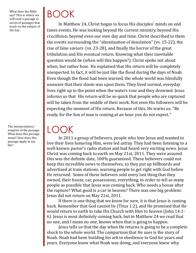What does the Bible say? This is where we will read a passage or series of passages that teach on the subject of the day.

The interpretation/ exegesis of the passage. What does this passage mean? How does this passage apply to my life?

# BOOK

LOOK

In Matthew 24, Christ began to focus His disciples' minds on end times events. He was looking beyond He current ministry, beyond His crucifixion, beyond even our own day and time. Christ described to them the events surrounding the "abomination of desolation" (vs. 15-22), the rise of false saviors (vs. 23-28), and finally the horror of the great tribulation and His eventual return. Knowing what their inevitable question would be (when will this happen?), Christ spoke not about when, but rather how. He explained that His return will be completely unexpected. In fact, it will be just like the flood during the days of Noah. Even though the flood had been warned, the whole world was blissfully unaware that their doom was upon them. They lived normal, everyday lives right up to the point when the waters rose and they drowned. Jesus informs us that His return will be so quick that people who are raptured will be taken from the middle of their work. Not even His followers will be expecting the moment of His return. Because of this, He warns us, "Be ready, for the Son of man is coming at an hour you do not expect."

In 2011 a group of believers, people who love Jesus and wanted to live their lives honoring Him, were led astray. They had been listening to a well-known pastor's radio station and had heard very exciting news. Jesus Christ was coming back to earth on May 21st, 2011. They were assured this was the definite date, 100% guaranteed. These believers could not keep this incredible news to themselves, so they put up billboards and advertised at train stations, warning people to get right with God before He returned. Some of these believers sold every last thing that they owned, their house, car, possessions, everything, in order to tell as many people as possible that Jesus was coming back. Who needs a house after the rapture? What good is a car in heaven? There was one big problem: Jesus did not return on May 21st, 2011.

If there is one thing that we know for sure, it is that Jesus is coming back. Remember that God cannot lie (Titus 1:2), and He promised that He would return to earth to take His Church with Him to heaven (John 14:1- 6). Jesus is most definitely coming back, but in Matthew 24 we read that no one, and I mean no one, knows when that is going to happen.

Jesus tells us that the day when He returns is going to be a complete shock to the whole world. The comparison that He uses is the story of Noah. Noah had been building his ark in obedience to God for years and years. Everyone knew what Noah was doing, and everyone knew why.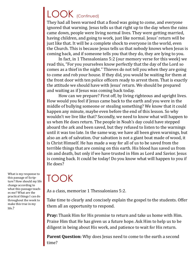## LOOK (Continued)

They had all been warned that a flood was going to come, and everyone ignored that warning. Jesus tells us that right up to the day when the rains came down, people were living normal lives. They were getting married, having children, and going to work, just like normal. Jesus' return will be just like that. It will be a complete shock to everyone in the world, even the Church. This is because Jesus tells us that nobody knows when Jesus is coming back, and if someone tells you that they do, they are lying to you.

In fact, in 1 Thessalonians 5:2 (our memory verse for this week) we read this, "For you yourselves know perfectly that the day of the Lord so comes as a thief in the night." Thieves do not tell you when they are going to come and rob your house. If they did, you would be waiting for them at the front door with ten police officers ready to arrest them. That is exactly the attitude we should have with Jesus' return. We should be prepared and waiting as if Jesus was coming back today.

How can we prepare? First off, by living righteous and upright lives. How would you feel if Jesus came back to the earth and you were in the middle of bullying someone or stealing something? We know that it could happen any minute, maybe even before the end of this lesson. So why wouldn't we live like that? Secondly, we need to know what will happen to us when He does return. The people in Noah's day could have stepped aboard the ark and been saved, but they refused to listen to the warnings until it was too late. In the same way, we have all been given warnings, but also an ark of salvation. Our salvation is not a giant boat made of wood, it is Christ Himself. He has made a way for all of us to be saved from the terrible things that are coming on this earth. His blood has saved us from sin and death, but only if we have trusted in Him as Lord and Savior. Jesus is coming back. It could be today! Do you know what will happen to you if He does?

### TOOK

As a class, memorize 1 Thessalonians 5:2.

Take time to clearly and concisely explain the gospel to the students. Offer them all an opportunity to respond.

**Pray:** Thank Him for His promise to return and take us home with Him. Praise Him that He has given us a future hope. Ask Him to help us to be diligent in being about His work, and patience to wait for His return.

**Parent Question:** Why does Jesus need to come to the earth a second time?

What is my response to this passage of Scripture? How should my life change according to what this passage teaches me? What are the practical things I can do throughout the week to make this true in my life.?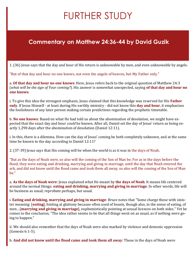## FURTHER STUDY

#### **Commentary on Matthew 24:36-44 by David Guzik**

1. (36) Jesus says that the day and hour of His return is unknowable by men, and even unknowable by angels.

"But of that day and hour no one knows, not even the angels of heaven, but My Father only."

a. **Of that day and hour no one knows**: Here, Jesus refers back to the original question of Matthew 24:3 (*what will be the sign of Your coming?*). His answer is somewhat unexpected, saying **of that day and hour no one knows**.

i. To give this idea the strongest emphasis, Jesus claimed that this knowledge was reserved for His **Father only**. If Jesus Himself - at least during His earthly ministry - did not know this **day and hour**, it emphasizes the foolishness of any later person making certain predictions regarding the prophetic timetable.

b. **No one knows**: Based on what He had told us about the abomination of desolation, we might have expected that the exact day and hour *could* be known. After all, Daniel set the day of Jesus' return as being exactly 1,290 days after the abomination of desolation (Daniel 12:11).

i. In this, there is a dilemma. How can the day of Jesus' coming be both completely unknown, and at the same time be known to the day according to Daniel 12:11?

2. (37-39) Jesus says that His coming will be when the world is as it was in the days of Noah.

"But as the days of Noah *were,* so also will the coming of the Son of Man be. For as in the days before the flood, they were eating and drinking, marrying and giving in marriage, until the day that Noah entered the ark, and did not know until the flood came and took them all away, so also will the coming of the Son of Man be."

a. **As the days of Noah were**: Jesus explained what He meant by **the days of Noah**. It means life centered around the normal things: **eating and drinking, marrying and giving in marriage**. In other words, life will be business as usual; reprobate perhaps, but usual.

i. **Eating and drinking, marrying and giving in marriage**: Bruce notes that "Some charge these with sinister meaning: [**eating**], hinting at gluttony because often used of beasts, though also, in the sense of eating, of men…[**marrying and giving in marriage**], euphemistically pointing at sexual licences on both sides." Yet he comes to the conclusion, "The idea rather seems to be that all things went on as usual, as if nothing were going to happen."

ii. We should also remember that the days of Noah were also marked by violence and demonic oppression (Genesis 6:1-5).

b. **And did not know until the flood came and took them all away**: Those in the days of Noah were